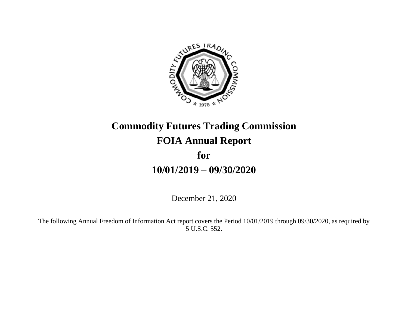

# **Commodity Futures Trading Commission FOIA Annual Report for 10/01/2019 – 09/30/2020**

December 21, 2020

The following Annual Freedom of Information Act report covers the Period 10/01/2019 through 09/30/2020, as required by 5 U.S.C. 552.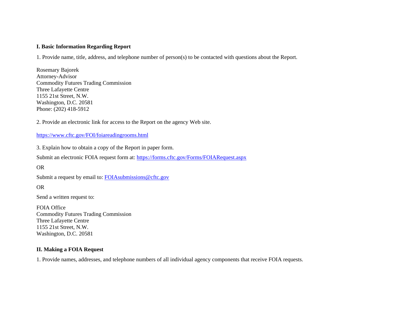#### **I. Basic Information Regarding Report**

1. Provide name, title, address, and telephone number of person(s) to be contacted with questions about the Report.

Rosemary Bajorek Attorney-Advisor Commodity Futures Trading Commission Three Lafayette Centre 1155 21st Street, N.W. Washington, D.C. 20581 Phone: (202) 418-5912

2. Provide an electronic link for access to the Report on the agency Web site.

#### https://www.cftc.gov/FOI/foiareadingrooms.html

3. Explain how to obtain a copy of the Report in paper form.

Submit an electronic FOIA request form at: https://forms.cftc.gov/Forms/FOIARequest.aspx

#### OR

Submit a request by email to: FOIAsubmissions@cftc.gov

#### OR

Send a written request to:

FOIA Office Commodity Futures Trading Commission Three Lafayette Centre 1155 21st Street, N.W. Washington, D.C. 20581

#### **II. Making a FOIA Request**

1. Provide names, addresses, and telephone numbers of all individual agency components that receive FOIA requests.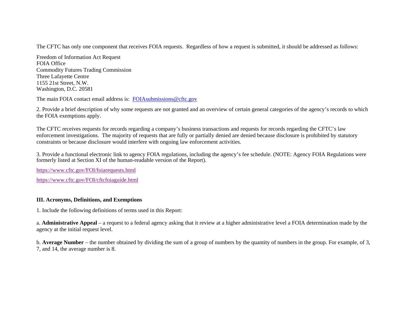The CFTC has only one component that receives FOIA requests. Regardless of how a request is submitted, it should be addressed as follows:

Freedom of Information Act Request FOIA Office Commodity Futures Trading Commission Three Lafayette Centre 1155 21st Street, N.W. Washington, D.C. 20581

The main FOIA contact email address is: FOIAsubmissions@cftc.gov

2. Provide a brief description of why some requests are not granted and an overview of certain general categories of the agency's records to which the FOIA exemptions apply.

The CFTC receives requests for records regarding a company's business transactions and requests for records regarding the CFTC's law enforcement investigations. The majority of requests that are fully or partially denied are denied because disclosure is prohibited by statutory constraints or because disclosure would interfere with ongoing law enforcement activities.

3. Provide a functional electronic link to agency FOIA regulations, including the agency's fee schedule. (NOTE: Agency FOIA Regulations were formerly listed at Section XI of the human-readable version of the Report).

https://www.cftc.gov/FOI/foiarequests.html

https://www.cftc.gov/FOI/cftcfoiaguide.html

#### **III. Acronyms, Definitions, and Exemptions**

1. Include the following definitions of terms used in this Report:

a. **Administrative Appeal** – a request to a federal agency asking that it review at a higher administrative level a FOIA determination made by the agency at the initial request level.

b. **Average Number** – the number obtained by dividing the sum of a group of numbers by the quantity of numbers in the group. For example, of 3, 7, and 14, the average number is 8.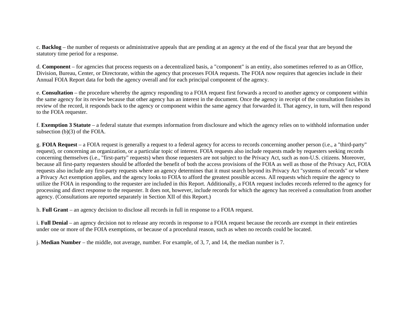c. **Backlog** – the number of requests or administrative appeals that are pending at an agency at the end of the fiscal year that are beyond the statutory time period for a response.

d. **Component** – for agencies that process requests on a decentralized basis, a "component" is an entity, also sometimes referred to as an Office, Division, Bureau, Center, or Directorate, within the agency that processes FOIA requests. The FOIA now requires that agencies include in their Annual FOIA Report data for both the agency overall and for each principal component of the agency.

e. **Consultation** – the procedure whereby the agency responding to a FOIA request first forwards a record to another agency or component within the same agency for its review because that other agency has an interest in the document. Once the agency in receipt of the consultation finishes its review of the record, it responds back to the agency or component within the same agency that forwarded it. That agency, in turn, will then respond to the FOIA requester.

f. **Exemption 3 Statute** – a federal statute that exempts information from disclosure and which the agency relies on to withhold information under subsection (b)(3) of the FOIA.

g. **FOIA Request** – a FOIA request is generally a request to a federal agency for access to records concerning another person (i.e., a "third-party" request), or concerning an organization, or a particular topic of interest. FOIA requests also include requests made by requesters seeking records concerning themselves (i.e., "first-party" requests) when those requesters are not subject to the Privacy Act, such as non-U.S. citizens. Moreover, because all first-party requesters should be afforded the benefit of both the access provisions of the FOIA as well as those of the Privacy Act, FOIA requests also include any first-party requests where an agency determines that it must search beyond its Privacy Act "systems of records" or where a Privacy Act exemption applies, and the agency looks to FOIA to afford the greatest possible access. All requests which require the agency to utilize the FOIA in responding to the requester are included in this Report. Additionally, a FOIA request includes records referred to the agency for processing and direct response to the requester. It does not, however, include records for which the agency has received a consultation from another agency. (Consultations are reported separately in Section XII of this Report.)

h. **Full Grant** – an agency decision to disclose all records in full in response to a FOIA request.

i. **Full Denial** – an agency decision not to release any records in response to a FOIA request because the records are exempt in their entireties under one or more of the FOIA exemptions, or because of a procedural reason, such as when no records could be located.

j. **Median Number** – the middle, not average, number. For example, of 3, 7, and 14, the median number is 7.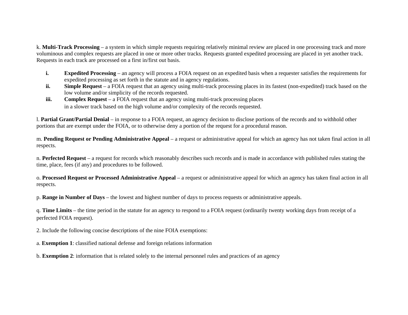k. **Multi-Track Processing** – a system in which simple requests requiring relatively minimal review are placed in one processing track and more voluminous and complex requests are placed in one or more other tracks. Requests granted expedited processing are placed in yet another track. Requests in each track are processed on a first in/first out basis.

- **i. Expedited Processing** – an agency will process a FOIA request on an expedited basis when a requester satisfies the requirements for expedited processing as set forth in the statute and in agency regulations.
- **ii. Simple Request** – a FOIA request that an agency using multi-track processing places in its fastest (non-expedited) track based on the low volume and/or simplicity of the records requested.
- **iii. Complex Request** – a FOIA request that an agency using multi-track processing places in a slower track based on the high volume and/or complexity of the records requested.

l. **Partial Grant/Partial Denial** – in response to a FOIA request, an agency decision to disclose portions of the records and to withhold other portions that are exempt under the FOIA, or to otherwise deny a portion of the request for a procedural reason.

m. **Pending Request or Pending Administrative Appeal** – a request or administrative appeal for which an agency has not taken final action in all respects.

n. **Perfected Request** – a request for records which reasonably describes such records and is made in accordance with published rules stating the time, place, fees (if any) and procedures to be followed.

o. **Processed Request or Processed Administrative Appeal** – a request or administrative appeal for which an agency has taken final action in all respects.

p. **Range in Number of Days** – the lowest and highest number of days to process requests or administrative appeals.

q. **Time Limits** – the time period in the statute for an agency to respond to a FOIA request (ordinarily twenty working days from receipt of a perfected FOIA request).

2. Include the following concise descriptions of the nine FOIA exemptions:

a. **Exemption 1**: classified national defense and foreign relations information

b. **Exemption 2**: information that is related solely to the internal personnel rules and practices of an agency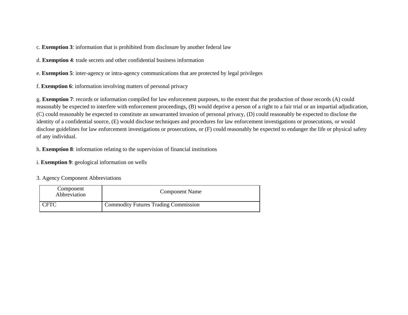c. **Exemption 3**: information that is prohibited from disclosure by another federal law

d. **Exemption 4**: trade secrets and other confidential business information

e. **Exemption 5**: inter-agency or intra-agency communications that are protected by legal privileges

f. **Exemption 6**: information involving matters of personal privacy

g. **Exemption 7**: records or information compiled for law enforcement purposes, to the extent that the production of those records (A) could reasonably be expected to interfere with enforcement proceedings, (B) would deprive a person of a right to a fair trial or an impartial adjudication, (C) could reasonably be expected to constitute an unwarranted invasion of personal privacy, (D) could reasonably be expected to disclose the identity of a confidential source, (E) would disclose techniques and procedures for law enforcement investigations or prosecutions, or would disclose guidelines for law enforcement investigations or prosecutions, or (F) could reasonably be expected to endanger the life or physical safety of any individual.

h. **Exemption 8**: information relating to the supervision of financial institutions

i. **Exemption 9**: geological information on wells

#### 3. Agency Component Abbreviations

| Component<br>Abbreviation | <b>Component Name</b>                       |
|---------------------------|---------------------------------------------|
| <b>CFTC</b>               | <b>Commodity Futures Trading Commission</b> |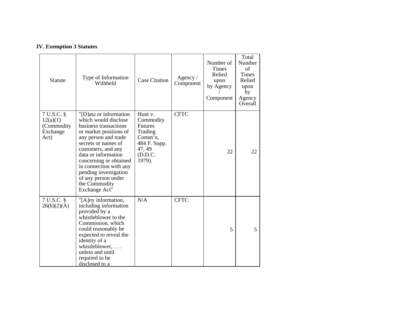# **IV. Exemption 3 Statutes**

| <b>Statute</b>                                           | Type of Information<br>Withheld                                                                                                                                                                                                                                                                                                     | <b>Case Citation</b>                                                                                        | Agency $/$<br>Component | Number of<br><b>Times</b><br>Relied<br>upon<br>by Agency<br>Component | Total<br>Number<br>of<br><b>Times</b><br>Relied<br>upon<br>by<br>Agency<br>Overall |
|----------------------------------------------------------|-------------------------------------------------------------------------------------------------------------------------------------------------------------------------------------------------------------------------------------------------------------------------------------------------------------------------------------|-------------------------------------------------------------------------------------------------------------|-------------------------|-----------------------------------------------------------------------|------------------------------------------------------------------------------------|
| 7 U.S.C. §<br>12(a)(1)<br>(Commodity<br>Exchange<br>Act) | "[D]ata or information<br>which would disclose<br>business transactions<br>or market positions of<br>any person and trade<br>secrets or names of<br>customers, and any<br>data or information<br>concerning or obtained<br>in connection with any<br>pending investigation<br>of any person under<br>the Commodity<br>Exchange Act" | Hunt v.<br>Commodity<br><b>Futures</b><br>Trading<br>Comm'n,<br>484 F. Supp.<br>47, 49<br>(D.D.C.<br>1979). | <b>CFTC</b>             | 22                                                                    | 22                                                                                 |
| 7 U.S.C. §<br>26(h)(2)(A)                                | "[A]ny information,<br>including information<br>provided by a<br>whistleblower to the<br>Commission, which<br>could reasonably be<br>expected to reveal the<br>identity of a<br>whistleblower,<br>unless and until<br>required to be<br>disclosed to a                                                                              | N/A                                                                                                         | <b>CFTC</b>             | 5                                                                     | 5                                                                                  |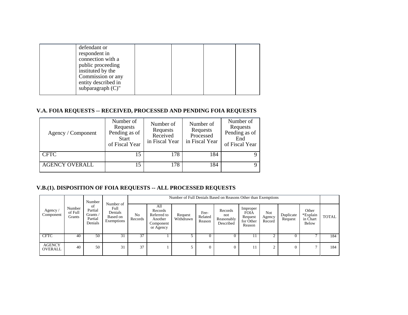| defendant or<br>respondent in<br>connection with a<br>public proceeding<br>instituted by the |  |  |
|----------------------------------------------------------------------------------------------|--|--|
| Commission or any<br>entity described in<br>subparagraph $(C)$ "                             |  |  |

# **V.A. FOIA REQUESTS -- RECEIVED, PROCESSED AND PENDING FOIA REQUESTS**

| Agency / Component    | Number of<br>Requests<br>Pending as of<br>Start<br>of Fiscal Year | Number of<br>Requests<br>Received<br>in Fiscal Year | Number of<br>Requests<br>Processed<br>in Fiscal Year | Number of<br>Requests<br>Pending as of<br>End<br>of Fiscal Year |
|-----------------------|-------------------------------------------------------------------|-----------------------------------------------------|------------------------------------------------------|-----------------------------------------------------------------|
| <b>CFTC</b>           | 15                                                                | 178                                                 | 184                                                  |                                                                 |
| <b>AGENCY OVERALL</b> | 15                                                                | 178                                                 | 184                                                  | 9                                                               |

# **V.B.(1). DISPOSITION OF FOIA REQUESTS -- ALL PROCESSED REQUESTS**

|                          | Number<br>of Full<br>Grants | Number<br>-of<br>Partial<br>Grants /<br>Partial<br>Denials | Number of<br>Full<br>Denials<br>Based on<br>Exemptions |               | Number of Full Denials Based on Reasons Other than Exemptions      |                      |                           |                                           |                                                           |                         |                      |                                        |              |  |  |
|--------------------------|-----------------------------|------------------------------------------------------------|--------------------------------------------------------|---------------|--------------------------------------------------------------------|----------------------|---------------------------|-------------------------------------------|-----------------------------------------------------------|-------------------------|----------------------|----------------------------------------|--------------|--|--|
| Agency<br>Component      |                             |                                                            |                                                        | No<br>Records | All<br>Records<br>Referred to<br>Another<br>Component<br>or Agency | Request<br>Withdrawn | Fee-<br>Related<br>Reason | Records<br>not<br>Reasonably<br>Described | Improper<br><b>FOIA</b><br>Request<br>for Other<br>Reason | Not<br>Agency<br>Record | Duplicate<br>Request | Other<br>*Explain<br>in Chart<br>Below | <b>TOTAL</b> |  |  |
| <b>CFTC</b>              | 40                          | 50                                                         | 31                                                     | 37            |                                                                    |                      | υ                         |                                           | 11                                                        |                         |                      |                                        | 184          |  |  |
| <b>AGENCY</b><br>OVERALL | 40                          | 50                                                         | 31                                                     | 37            |                                                                    |                      | $\Omega$                  | $\Omega$                                  | 11                                                        | $\sim$                  |                      |                                        | 184          |  |  |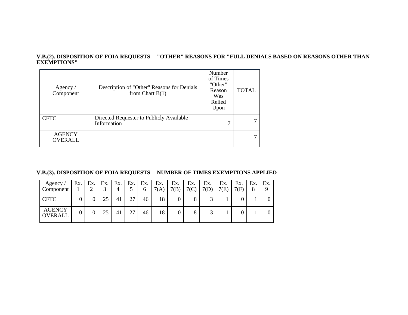#### **V.B.(2). DISPOSITION OF FOIA REQUESTS -- "OTHER" REASONS FOR "FULL DENIALS BASED ON REASONS OTHER THAN EXEMPTIONS"**

| Agency $/$<br>Component         | Description of "Other" Reasons for Denials<br>from Chart $B(1)$ | Number<br>of Times<br>"Other"<br>Reason<br>Was<br>Relied<br>Upon | <b>TOTAL</b> |
|---------------------------------|-----------------------------------------------------------------|------------------------------------------------------------------|--------------|
| <b>CFTC</b>                     | Directed Requester to Publicly Available<br>Information         | ⇁                                                                |              |
| <b>AGENCY</b><br><b>OVERALL</b> |                                                                 |                                                                  |              |

# **V.B.(3). DISPOSITION OF FOIA REQUESTS -- NUMBER OF TIMES EXEMPTIONS APPLIED**

| Agency/<br>Component            | Ex. | Ex. | Ex. | Ex. | Ex. | Ex.<br>6 | Ex.<br>7(A) | Ex.<br>7(B) | Ex.<br>7(0) | Ex.<br>7(D) | Ex.<br>7(E) | Ex.<br>7(F) | Ex.<br>8 | Ex.<br>Q |
|---------------------------------|-----|-----|-----|-----|-----|----------|-------------|-------------|-------------|-------------|-------------|-------------|----------|----------|
| <b>CFTC</b>                     |     |     | 25  | 41  | 27  | 46       | 18          |             |             |             |             |             |          |          |
| <b>AGENCY</b><br><b>OVERALL</b> |     |     | 25  | 41  | 27  | 46       | 18          |             |             |             |             |             |          |          |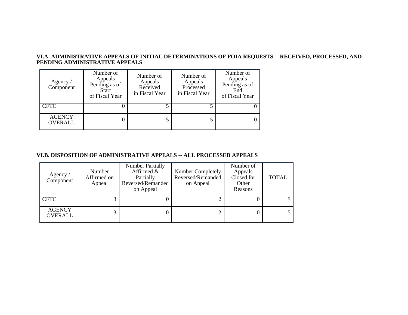#### **VI.A. ADMINISTRATIVE APPEALS OF INITIAL DETERMINATIONS OF FOIA REQUESTS -- RECEIVED, PROCESSED, AND PENDING ADMINISTRATIVE APPEALS**

| Agency /<br>Component           | Number of<br>Appeals<br>Pending as of<br>Start<br>of Fiscal Year | Number of<br>Appeals<br>Received<br>in Fiscal Year | Number of<br>Appeals<br>Processed<br>in Fiscal Year | Number of<br>Appeals<br>Pending as of<br>End<br>of Fiscal Year |
|---------------------------------|------------------------------------------------------------------|----------------------------------------------------|-----------------------------------------------------|----------------------------------------------------------------|
| <b>CFTC</b>                     |                                                                  |                                                    |                                                     |                                                                |
| <b>AGENCY</b><br><b>OVERALL</b> |                                                                  |                                                    |                                                     |                                                                |

# **VI.B. DISPOSITION OF ADMINISTRATIVE APPEALS -- ALL PROCESSED APPEALS**

| Agency $/$<br>Component         | Number<br>Affirmed on<br>Appeal | <b>Number Partially</b><br>Affirmed $\&$<br>Partially<br>Reversed/Remanded<br>on Appeal | Number Completely<br>Reversed/Remanded<br>on Appeal | Number of<br>Appeals<br>Closed for<br>Other<br>Reasons | <b>TOTAL</b> |
|---------------------------------|---------------------------------|-----------------------------------------------------------------------------------------|-----------------------------------------------------|--------------------------------------------------------|--------------|
| <b>CFTC</b>                     |                                 |                                                                                         |                                                     |                                                        |              |
| <b>AGENCY</b><br><b>OVERALL</b> |                                 |                                                                                         |                                                     | 0                                                      |              |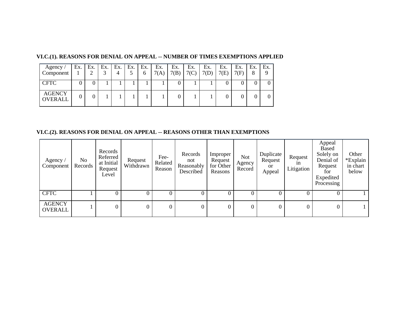#### **VI.C.(1). REASONS FOR DENIAL ON APPEAL -- NUMBER OF TIMES EXEMPTIONS APPLIED**

| Agency /<br>Component           | Ex. | $Ex.$ Ex. Ex. Ex.<br>⌒ | 4 | Ex.<br>6 | Ex.<br>7(A) | Ex.<br>7(B) | Ex.<br>$7(C)$ . | Ex.<br>7(D) | Ex.<br>7(E) | Ex.<br>7(F) | Ex. | $E_{X}$ . |
|---------------------------------|-----|------------------------|---|----------|-------------|-------------|-----------------|-------------|-------------|-------------|-----|-----------|
| <b>CFTC</b>                     |     |                        |   |          |             |             |                 |             |             |             |     |           |
| <b>AGENCY</b><br><b>OVERALL</b> |     |                        |   |          |             |             |                 |             |             |             |     |           |

# **VI.C.(2). REASONS FOR DENIAL ON APPEAL -- REASONS OTHER THAN EXEMPTIONS**

| Agency /<br>Component    | No<br>Records | Records<br>Referred<br>at Initial<br>Request<br>Level | Request<br>Withdrawn | Fee-<br>Related<br>Reason | Records<br>not<br>Reasonably<br>Described | Improper<br>Request<br>for Other<br>Reasons | <b>Not</b><br>Agency<br>Record | Duplicate<br>Request<br>or<br>Appeal | Request<br>1n<br>Litigation | Appeal<br>Based<br>Solely on<br>Denial of<br>Request<br>for<br>Expedited<br>Processing | Other<br>*Explain<br>in chart<br>below |
|--------------------------|---------------|-------------------------------------------------------|----------------------|---------------------------|-------------------------------------------|---------------------------------------------|--------------------------------|--------------------------------------|-----------------------------|----------------------------------------------------------------------------------------|----------------------------------------|
| <b>CFTC</b>              |               | 0                                                     | $\Omega$             |                           | 0                                         | 0                                           | $\Omega$                       | $\theta$                             |                             | $\Omega$                                                                               |                                        |
| <b>AGENCY</b><br>OVERALL |               |                                                       | 0                    | 0                         | 0                                         | 0                                           | $\overline{0}$                 | 0                                    | 0                           | 0                                                                                      |                                        |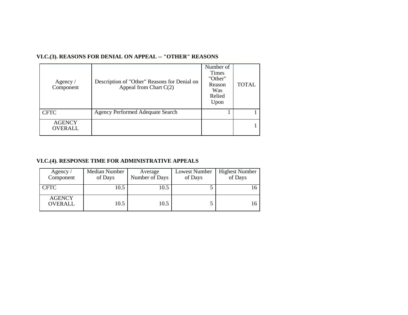| Agency $\sqrt{ }$<br>Component  | Description of "Other" Reasons for Denial on<br>Appeal from Chart $C(2)$ | Number of<br><b>Times</b><br>"Other"<br>Reason<br>Was<br>Relied<br>Upon | <b>TOTAL</b> |
|---------------------------------|--------------------------------------------------------------------------|-------------------------------------------------------------------------|--------------|
| <b>CFTC</b>                     | <b>Agency Performed Adequate Search</b>                                  |                                                                         |              |
| <b>AGENCY</b><br><b>OVERALL</b> |                                                                          |                                                                         |              |

# **VI.C.(3). REASONS FOR DENIAL ON APPEAL -- "OTHER" REASONS**

# **VI.C.(4). RESPONSE TIME FOR ADMINISTRATIVE APPEALS**

| Agency /<br>Component    | Median Number<br>of Days | Average<br>Number of Days | Lowest Number<br>of Days | <b>Highest Number</b><br>of Days |
|--------------------------|--------------------------|---------------------------|--------------------------|----------------------------------|
| <b>CFTC</b>              | 10.5                     | 10.5                      |                          |                                  |
| <b>AGENCY</b><br>OVERALL | 10.5                     | 10.5                      |                          |                                  |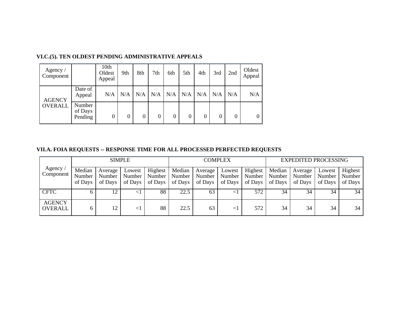| Agency $\sqrt{ }$<br>Component |                              | 10th<br>Oldest<br>Appeal | 9th | 8th      | 7th | 6th              | 5th      | 4th | 3rd | 2nd            | Oldest<br>Appeal |
|--------------------------------|------------------------------|--------------------------|-----|----------|-----|------------------|----------|-----|-----|----------------|------------------|
| <b>AGENCY</b>                  | Date of<br>Appeal            | N/A                      | N/A | N/A      | N/A | N/A              | N/A      | N/A | N/A | N/A            | N/A              |
| <b>OVERALL</b>                 | Number<br>of Days<br>Pending | 0                        | 0   | $\Omega$ | 0   | $\boldsymbol{0}$ | $\theta$ | 0   |     | $\overline{0}$ | $\theta$         |

# **VI.C.(5). TEN OLDEST PENDING ADMINISTRATIVE APPEALS**

# **VII.A. FOIA REQUESTS -- RESPONSE TIME FOR ALL PROCESSED PERFECTED REQUESTS**

|                          |                             |                              | <b>SIMPLE</b>                 |                                  |                             |                              | <b>COMPLEX</b>              |                                |                               | <b>EXPEDITED PROCESSING</b>  |                             |                              |
|--------------------------|-----------------------------|------------------------------|-------------------------------|----------------------------------|-----------------------------|------------------------------|-----------------------------|--------------------------------|-------------------------------|------------------------------|-----------------------------|------------------------------|
| Agency<br>Component      | Median<br>Number<br>of Days | Average<br>Number<br>of Days | Lowest<br>Number  <br>of Days | Highest<br>  Number  <br>of Days | Median<br>Number<br>of Days | Average<br>Number<br>of Days | Lowest<br>Number<br>of Days | Highest<br>Number  <br>of Days | Median<br>Number  <br>of Days | Average<br>Number<br>of Days | Lowest<br>Number<br>of Days | Highest<br>Number<br>of Days |
| <b>CFTC</b>              |                             | 12                           |                               | 88                               | 22.5                        | 63                           |                             | 572                            | 34                            | 34                           | 34                          | 34                           |
| <b>AGENCY</b><br>OVERALL | 6                           | 12                           | $\leq$ 1                      | 88                               | 22.5                        | 63                           |                             | 572                            | 34                            | 34                           | 34                          | 34                           |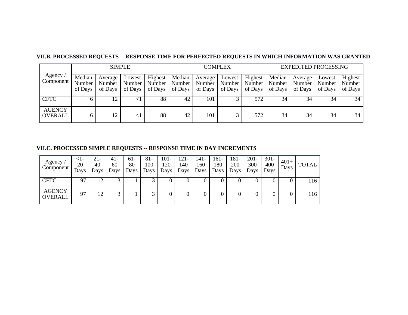| <b>SIMPLE</b>            |                             |                              |                   |                                         |                             | <b>COMPLEX</b>               |                               |                              |                   | <b>EXPEDITED PROCESSING</b>           |                             |                              |  |
|--------------------------|-----------------------------|------------------------------|-------------------|-----------------------------------------|-----------------------------|------------------------------|-------------------------------|------------------------------|-------------------|---------------------------------------|-----------------------------|------------------------------|--|
| Agency<br>Component      | Median<br>Number<br>of Days | Average<br>Number<br>of Days | Lowest<br>of Days | Highest<br>Number   Number  <br>of Days | Median<br>Number<br>of Days | Average<br>Number<br>of Days | Lowest<br>Number  <br>of Days | Highest<br>Number<br>of Days | Median<br>of Days | Average<br>Number   Number<br>of Days | Lowest<br>Number<br>of Days | Highest<br>Number<br>of Days |  |
| <b>CFTC</b>              |                             |                              |                   | 88                                      | 42                          | 101                          |                               | 572                          | 34                | 34                                    | 34                          | 34                           |  |
| <b>AGENCY</b><br>OVERALL | 6                           | 12                           | $\leq$ 1          | 88                                      | 42                          | 101                          |                               | 572                          | 34                | 34                                    | 34                          | 34                           |  |

# **VII.B. PROCESSED REQUESTS -- RESPONSE TIME FOR PERFECTED REQUESTS IN WHICH INFORMATION WAS GRANTED**

# **VII.C. PROCESSED SIMPLE REQUESTS -- RESPONSE TIME IN DAY INCREMENTS**

| Agency $\sqrt{ }$<br>Component  | <1-<br>20<br>Days | 21-<br>40<br>Days | 41-<br>60<br>Days | $61-$<br>80<br>Days | $81 -$<br>100<br>Days | $101 -$<br>120<br>Days | $121 -$<br>140<br>Days | 141-<br>160<br>Days | 161-<br>180<br>Days | 181-<br>200<br>Days | $201 -$<br>300<br>Days | $301 -$<br>400<br>Days | $401+$<br>Days | <b>TOTAL</b> |
|---------------------------------|-------------------|-------------------|-------------------|---------------------|-----------------------|------------------------|------------------------|---------------------|---------------------|---------------------|------------------------|------------------------|----------------|--------------|
| <b>CFTC</b>                     | 97                | 12                |                   |                     |                       | v                      |                        | U                   |                     | v                   |                        |                        |                | 116          |
| <b>AGENCY</b><br><b>OVERALL</b> | 97                | 12                |                   |                     | ⌒                     |                        |                        |                     |                     |                     | 0                      |                        |                | 116          |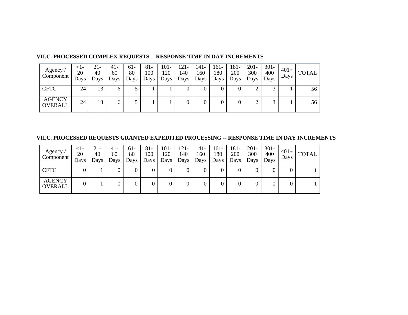| Agency<br>Component             | <1-<br>20<br>Days | 21-<br>40<br>Days | 41-<br>60<br>Days | 61-<br>80<br>Days | 81-<br>100<br>Days | $101 -$<br>120<br>Days | 121-<br>140<br>Days | 141-<br>160<br>Days | 161-<br>180<br>Days | 181-<br>200<br>Days | $201 -$<br>300<br>Days | $301 -$<br>400<br>Days | $401+$<br>Days | <b>TOTAL</b> |
|---------------------------------|-------------------|-------------------|-------------------|-------------------|--------------------|------------------------|---------------------|---------------------|---------------------|---------------------|------------------------|------------------------|----------------|--------------|
| <b>CFTC</b>                     | 24                | 13                | O                 |                   |                    |                        |                     | U                   |                     |                     |                        |                        |                | 56           |
| <b>AGENCY</b><br><b>OVERALL</b> | 24                | 13                | <sub>0</sub>      |                   |                    |                        |                     | 0                   |                     | 0                   | ↑<br>∠                 |                        |                | 56           |

# **VII.C. PROCESSED COMPLEX REQUESTS -- RESPONSE TIME IN DAY INCREMENTS**

**VII.C. PROCESSED REQUESTS GRANTED EXPEDITED PROCESSING -- RESPONSE TIME IN DAY INCREMENTS**

| Agency<br>Component             | <1-<br>20<br>Days | 21-<br>40<br>Days | 41-<br>60<br>Days | $61-$<br>80<br>Days | $81-$<br>100<br>Days ' | 101-<br>120<br>Days | $121 -$<br>140<br>Days | 141-<br>160<br>Days | 161-<br>180<br>Days | 181-<br>200<br>Days | $201 -$<br>300<br>Days | $301 -$<br>400<br>Days | $401+$<br>Days | TOTAL |
|---------------------------------|-------------------|-------------------|-------------------|---------------------|------------------------|---------------------|------------------------|---------------------|---------------------|---------------------|------------------------|------------------------|----------------|-------|
| <b>CFTC</b>                     | U                 |                   |                   |                     | U                      |                     |                        | U                   |                     |                     |                        |                        |                |       |
| <b>AGENCY</b><br><b>OVERALL</b> | 0                 |                   |                   |                     | 0                      |                     |                        | 0                   |                     |                     |                        |                        |                |       |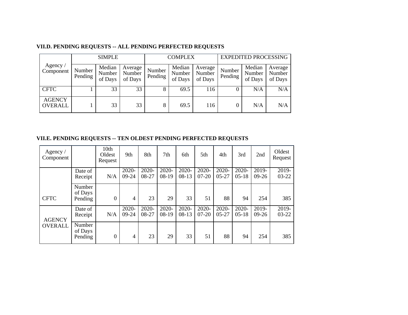# **VII.D. PENDING REQUESTS -- ALL PENDING PERFECTED REQUESTS**

|                                 |                   | <b>SIMPLE</b>               |                              |                   | <b>COMPLEX</b>              |                              |                   | <b>EXPEDITED PROCESSING</b> |                              |
|---------------------------------|-------------------|-----------------------------|------------------------------|-------------------|-----------------------------|------------------------------|-------------------|-----------------------------|------------------------------|
| Agency $\sqrt{ }$<br>Component  | Number<br>Pending | Median<br>Number<br>of Days | Average<br>Number<br>of Days | Number<br>Pending | Median<br>Number<br>of Days | Average<br>Number<br>of Days | Number<br>Pending | Median<br>Number<br>of Days | Average<br>Number<br>of Days |
| <b>CFTC</b>                     |                   | 33                          | 33                           | 8                 | 69.5                        | 116                          |                   | N/A                         | N/A                          |
| <b>AGENCY</b><br><b>OVERALL</b> |                   | 33                          | 33                           | 8                 | 69.5                        | 116                          |                   | N/A                         | N/A                          |

# **VII.E. PENDING REQUESTS -- TEN OLDEST PENDING PERFECTED REQUESTS**

| Agency $/$<br>Component |                              | 10th<br>Oldest<br>Request | 9th                   | 8th               | 7th                 | 6th                 | 5th                   | 4th                   | 3rd                   | 2nd                | Oldest<br>Request  |
|-------------------------|------------------------------|---------------------------|-----------------------|-------------------|---------------------|---------------------|-----------------------|-----------------------|-----------------------|--------------------|--------------------|
|                         | Date of<br>Receipt           | N/A                       | 2020-<br>$09-24$      | 2020-<br>08-27    | 2020-<br>08-19      | 2020-<br>$08-13$    | 2020-<br>$07 - 20$    | 2020-<br>$05 - 27$    | 2020-<br>$05-18$      | 2019-<br>$09-26$   | 2019-<br>$03 - 22$ |
| <b>CFTC</b>             | Number<br>of Days<br>Pending | 0                         | 4                     | 23                | 29                  | 33                  | 51                    | 88                    | 94                    | 254                | 385                |
| <b>AGENCY</b>           | Date of<br>Receipt           | N/A                       | $2020 -$<br>$09 - 24$ | $2020 -$<br>08-27 | $2020 -$<br>$08-19$ | $2020 -$<br>$08-13$ | $2020 -$<br>$07 - 20$ | $2020 -$<br>$05 - 27$ | $2020 -$<br>$05 - 18$ | $2019-$<br>$09-26$ | 2019-<br>$03 - 22$ |
| <b>OVERALL</b>          | Number<br>of Days<br>Pending | 0                         | 4                     | 23                | 29                  | 33                  | 51                    | 88                    | 94                    | 254                | 385                |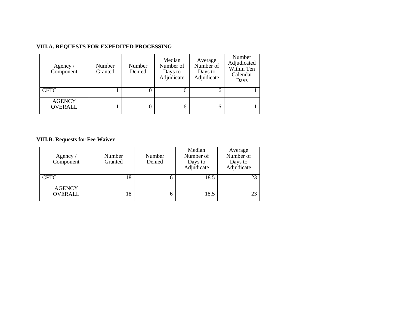# **VIII.A. REQUESTS FOR EXPEDITED PROCESSING**

| Agency $/$<br>Component         | Number<br>Granted | Number<br>Denied | Median<br>Number of<br>Days to<br>Adjudicate | Average<br>Number of<br>Days to<br>Adjudicate | Number<br>Adjudicated<br>Within Ten<br>Calendar<br>Days |
|---------------------------------|-------------------|------------------|----------------------------------------------|-----------------------------------------------|---------------------------------------------------------|
| <b>CFTC</b>                     |                   |                  | <sub>b</sub>                                 | n                                             |                                                         |
| <b>AGENCY</b><br><b>OVERALL</b> |                   |                  | 6                                            | h                                             |                                                         |

# **VIII.B. Requests for Fee Waiver**

| Agency $\sqrt{ }$<br>Component  | Number<br>Granted | Number<br>Denied | Median<br>Number of<br>Days to<br>Adjudicate | Average<br>Number of<br>Days to<br>Adjudicate |
|---------------------------------|-------------------|------------------|----------------------------------------------|-----------------------------------------------|
| <b>CFTC</b>                     | 18                |                  | 18.5                                         | 23                                            |
| <b>AGENCY</b><br><b>OVERALL</b> | 18                |                  | 18.5                                         | 23                                            |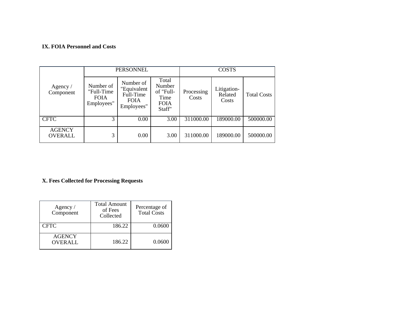#### **IX. FOIA Personnel and Costs**

|                                 |                                                      | PERSONNEL                                                          |                                                               |                     | <b>COSTS</b>                    |                    |
|---------------------------------|------------------------------------------------------|--------------------------------------------------------------------|---------------------------------------------------------------|---------------------|---------------------------------|--------------------|
| Agency $\sqrt{ }$<br>Component  | Number of<br>"Full-Time<br><b>FOIA</b><br>Employees" | Number of<br>"Equivalent<br>Full-Time<br><b>FOIA</b><br>Employees" | Total<br>Number<br>of "Full-<br>Time<br><b>FOIA</b><br>Staff" | Processing<br>Costs | Litigation-<br>Related<br>Costs | <b>Total Costs</b> |
| <b>CFTC</b>                     | 3                                                    | 0.00                                                               | 3.00                                                          | 311000.00           | 189000.00                       | 500000.00          |
| <b>AGENCY</b><br><b>OVERALL</b> | 3                                                    | 0.00                                                               | 3.00                                                          | 311000.00           | 189000.00                       | 500000.00          |

# **X. Fees Collected for Processing Requests**

| Agency /<br>Component           | <b>Total Amount</b><br>of Fees<br>Collected | Percentage of<br>Total Costs |
|---------------------------------|---------------------------------------------|------------------------------|
| <b>CFTC</b>                     | 186.22                                      | 0.0600                       |
| <b>AGENCY</b><br><b>OVERALL</b> | 186.22                                      | 0.0600                       |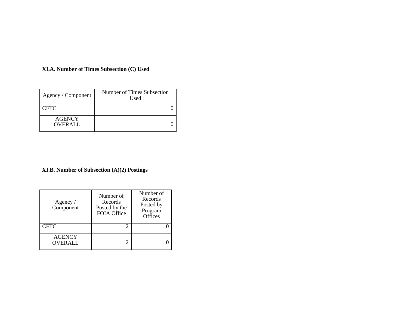# **XI.A. Number of Times Subsection (C) Used**

| Agency / Component              | Number of Times Subsection<br>Used |  |
|---------------------------------|------------------------------------|--|
| <b>CFTC</b>                     |                                    |  |
| <b>AGENCY</b><br><b>OVERALL</b> |                                    |  |

# **XI.B. Number of Subsection (A)(2) Postings**

| Agency $\sqrt{ }$<br>Component  | Number of<br>Records<br>Posted by the<br><b>FOIA Office</b> | Number of<br>Records<br>Posted by<br>Program<br><b>Offices</b> |
|---------------------------------|-------------------------------------------------------------|----------------------------------------------------------------|
| <b>CFTC</b>                     | 2                                                           |                                                                |
| <b>AGENCY</b><br><b>OVERALL</b> | 2                                                           |                                                                |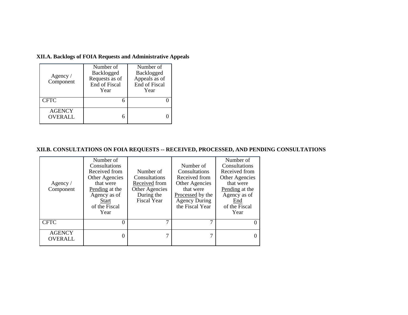**XII.A. Backlogs of FOIA Requests and Administrative Appeals**

| Agency $\sqrt{ }$<br>Component  | Number of<br>Backlogged<br>Requests as of<br>End of Fiscal<br>Year | Number of<br>Backlogged<br>Appeals as of<br>End of Fiscal<br>Year |
|---------------------------------|--------------------------------------------------------------------|-------------------------------------------------------------------|
| <b>CFTC</b>                     |                                                                    |                                                                   |
| <b>AGENCY</b><br><b>OVERALL</b> |                                                                    |                                                                   |

# **XII.B. CONSULTATIONS ON FOIA REQUESTS -- RECEIVED, PROCESSED, AND PENDING CONSULTATIONS**

| Agency $/$<br>Component         | Number of<br>Consultations<br>Received from<br>Other Agencies<br>that were<br>Pending at the<br>Agency as of<br><b>Start</b><br>of the Fiscal<br>Year | Number of<br>Consultations<br>Received from<br>Other Agencies<br>During the<br><b>Fiscal Year</b> | Number of<br>Consultations<br>Received from<br>Other Agencies<br>that were<br>Processed by the<br><b>Agency During</b><br>the Fiscal Year | Number of<br>Consultations<br>Received from<br>Other Agencies<br>that were<br>Pending at the<br>Agency as of<br>End<br>of the Fiscal<br>Year |
|---------------------------------|-------------------------------------------------------------------------------------------------------------------------------------------------------|---------------------------------------------------------------------------------------------------|-------------------------------------------------------------------------------------------------------------------------------------------|----------------------------------------------------------------------------------------------------------------------------------------------|
| <b>CFTC</b>                     |                                                                                                                                                       |                                                                                                   |                                                                                                                                           | $\Omega$                                                                                                                                     |
| <b>AGENCY</b><br><b>OVERALL</b> |                                                                                                                                                       |                                                                                                   |                                                                                                                                           | $\theta$                                                                                                                                     |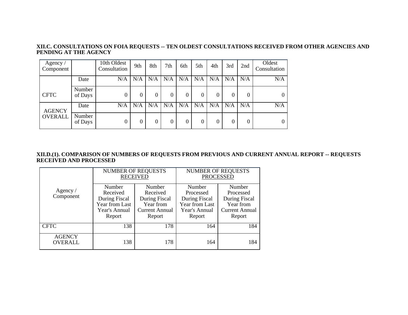#### **XII.C. CONSULTATIONS ON FOIA REQUESTS -- TEN OLDEST CONSULTATIONS RECEIVED FROM OTHER AGENCIES AND PENDING AT THE AGENCY**

| Agency $\sqrt{ }$<br>Component |                   | 10th Oldest<br>Consultation | 9th      | 8th | 7th            | 6th      | 5th | 4th | 3rd      | 2nd      | Oldest<br>Consultation |
|--------------------------------|-------------------|-----------------------------|----------|-----|----------------|----------|-----|-----|----------|----------|------------------------|
|                                | Date              | N/A                         | N/A      | N/A | N/A            | N/A      | N/A | N/A | N/A      | N/A      | N/A                    |
| <b>CFTC</b>                    | Number<br>of Days | 0                           | $\Omega$ | 0   | $\mathbf{0}$   | $\Omega$ | 0   | 0   | $\Omega$ | $\Omega$ | $\overline{0}$         |
| <b>AGENCY</b>                  | Date              | N/A                         | N/A      | N/A | N/A            | N/A      | N/A | N/A | N/A      | N/A      | N/A                    |
| <b>OVERALL</b>                 | Number<br>of Days | 0                           |          | 0   | $\overline{0}$ | 0        | 0   | 0   | 0        | $\Omega$ | $\overline{0}$         |

#### **XII.D.(1). COMPARISON OF NUMBERS OF REQUESTS FROM PREVIOUS AND CURRENT ANNUAL REPORT -- REQUESTS RECEIVED AND PROCESSED**

|                                 |                                                                                  | <b>NUMBER OF REQUESTS</b><br><b>RECEIVED</b>                                        | <b>NUMBER OF REQUESTS</b><br><b>PROCESSED</b>                                     |                                                                                      |  |
|---------------------------------|----------------------------------------------------------------------------------|-------------------------------------------------------------------------------------|-----------------------------------------------------------------------------------|--------------------------------------------------------------------------------------|--|
| Agency /<br>Component           | Number<br>Received<br>During Fiscal<br>Year from Last<br>Year's Annual<br>Report | Number<br>Received<br>During Fiscal<br>Year from<br><b>Current Annual</b><br>Report | Number<br>Processed<br>During Fiscal<br>Year from Last<br>Year's Annual<br>Report | Number<br>Processed<br>During Fiscal<br>Year from<br><b>Current Annual</b><br>Report |  |
| <b>CFTC</b>                     | 138                                                                              | 178                                                                                 | 164                                                                               | 184                                                                                  |  |
| <b>AGENCY</b><br><b>OVERALL</b> | 138                                                                              | 178                                                                                 | 164                                                                               | 184                                                                                  |  |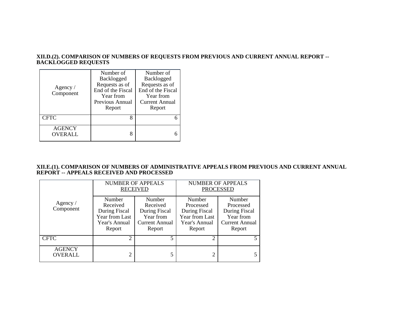#### **XII.D.(2). COMPARISON OF NUMBERS OF REQUESTS FROM PREVIOUS AND CURRENT ANNUAL REPORT -- BACKLOGGED REQUESTS**

| Agency /<br>Component    | Number of<br>Backlogged<br>Requests as of<br>End of the Fiscal<br>Year from<br>Previous Annual<br>Report | Number of<br>Backlogged<br>Requests as of<br>End of the Fiscal<br>Year from<br>Current Annual<br>Report |
|--------------------------|----------------------------------------------------------------------------------------------------------|---------------------------------------------------------------------------------------------------------|
| <b>CFTC</b>              | 8                                                                                                        |                                                                                                         |
| <b>AGENCY</b><br>OVERALL | 8                                                                                                        |                                                                                                         |

#### **XII.E.(1). COMPARISON OF NUMBERS OF ADMINISTRATIVE APPEALS FROM PREVIOUS AND CURRENT ANNUAL REPORT -- APPEALS RECEIVED AND PROCESSED**

|                                 | <b>NUMBER OF APPEALS</b>                                                         | <b>RECEIVED</b>                                                                     | <b>NUMBER OF APPEALS</b><br><b>PROCESSED</b>                                      |                                                                               |  |
|---------------------------------|----------------------------------------------------------------------------------|-------------------------------------------------------------------------------------|-----------------------------------------------------------------------------------|-------------------------------------------------------------------------------|--|
| Agency $\sqrt{ }$<br>Component  | Number<br>Received<br>During Fiscal<br>Year from Last<br>Year's Annual<br>Report | Number<br>Received<br>During Fiscal<br>Year from<br><b>Current Annual</b><br>Report | Number<br>Processed<br>During Fiscal<br>Year from Last<br>Year's Annual<br>Report | Number<br>Processed<br>During Fiscal<br>Year from<br>Current Annual<br>Report |  |
| <b>CFTC</b>                     | っ                                                                                |                                                                                     | ↑                                                                                 | 5                                                                             |  |
| <b>AGENCY</b><br><b>OVERALL</b> | ∍                                                                                |                                                                                     |                                                                                   | 5.                                                                            |  |